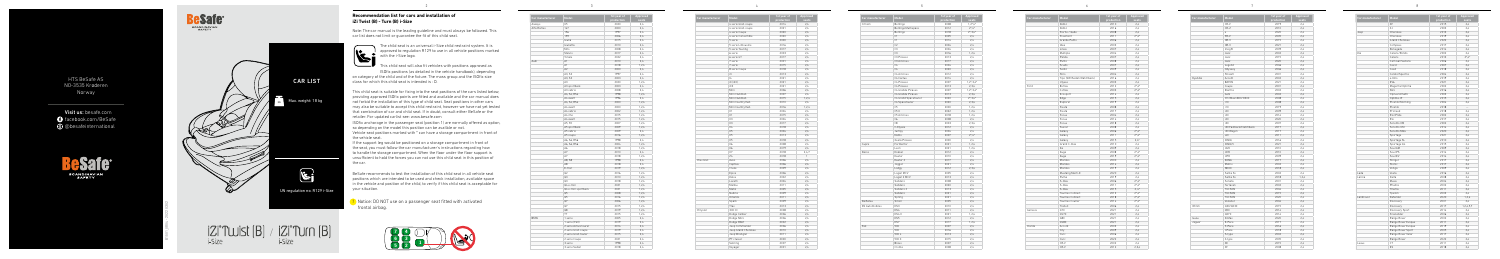**Recommendation list for cars and installation of** 

**iZi Twist (B) - Turn (B) i-Size**

 $\mathbf{k}_i$ 

 $\sqrt{2}$ 

Note: The car manual is the leading guideline and must always be followed. This

car list does not limit or guarantee the fit of this child seat.

The child seat is an universal i-Size child restraint system. It is approved to regulation R129 to use in all vehicle positions marked

with the i-Size logo.

This child seat will also fit vehicles with positions approved as ISOfix positions (as detailed in the vehicle handbook), depending

on category of the child and of the fixture. The mass group and the ISOfix size

class for which this child seat is intended is : D.

This child seat is suitable for fixing into the seat positions of the cars listed below, providing approved ISOfix points are fitted and available and the car manual does not forbid the installation of this type of child seat. Seat positions in other cars may also be suitable to accept this child restraint, however we have not yet tested that combination of car and child seat. If in doubt, consult either BeSafe or the

retailer. For updated carlist see: www.besafe.com

ISOfix anchorage in the passenger seat (position 1) are normally offered as option,

so depending on the model this position can be availble or not.



| Car manufacturer | Model               | 1st year of<br>production | Approved<br>seats |
|------------------|---------------------|---------------------------|-------------------|
|                  | 4 serie Gran coupe  | 2014                      | 2.4               |
|                  | 4 serie Gran coupe  | 2021                      | 2.4               |
|                  | 4 serie Coupe       | 2020                      | 2,4               |
|                  | 4 serie Convertible | 2020                      | 2,4               |
|                  | 5 serie             | 2000                      | 2.4               |
|                  | 5 serie Limousine   | 2016                      | 2,4               |
|                  | 5 serie Touring     | 2017                      | 2.4               |
|                  | 6 serie             | 2003                      | 2,4               |
|                  | 6 serie GT          | 2017                      | 2.4               |
|                  | 7 serie             | 2001                      | 2,4               |
|                  | 7 serie             | 2015                      | 2.4               |
|                  | 8 serie Coupe       | 2018                      | 2.4               |
|                  | i3                  | 2013                      | 2,4               |
|                  | 4                   | 2021                      | 2,4               |
|                  | iX (i20)            | 2021                      | 2.4               |
|                  | iX3                 | 2021                      | 2.4               |
|                  | Mini                | 2006                      | 2.4               |
|                  | Mini Clubman        | 2007                      | 2,4               |
|                  | Mini Clubman        | 2015                      | 1,2,4             |
|                  | Mini Countryman     | 2010                      | 2.4               |
|                  | Mini Countryman     | 2016                      | 1.2.4             |
|                  | X1                  | 2004                      | 2.4               |
|                  | X1                  | 2015                      | 2,4               |
|                  | X3                  | 2004                      | 2,4               |
|                  | X <sub>3</sub>      | 2017                      | 2.4               |
|                  | Х4                  | 2018                      | 2,4               |
|                  | X5                  | 2004                      | 2.4               |
|                  | X5                  | 2013                      | 2.4               |
|                  | X5                  | 2018                      | 2,4               |
|                  | X6                  | 2008                      | 2.4<br>2,4        |
|                  | X6<br>X7            | 2019<br>2018              | 2.4.7             |
|                  | Z <sub>4</sub>      | 2018                      | $\mathbf{1}$      |
| Chevrolet        | Aveo                | 2006                      | 2,4               |
|                  | Captiva             | 2006                      | 2.4               |
|                  | Cruze               | 2009                      | 2,4               |
|                  | Epica               | 2006                      | 2.4               |
|                  | Kalos               | 2002                      | 2.4               |
|                  | Lacetti             | 2004                      | 2.4               |
|                  | Malibu              | 2011                      | 2,4               |
|                  | Matiz               | 2005                      | 2.4               |
|                  | Nubira              | 2009                      | 2.4               |
|                  | Orlando             | 2011                      | 2.4               |
|                  | Spark               | 2009                      | 2,4               |
|                  | Trax                | 2013                      | 2,4               |
| Chrysler         | 300 CC              | 2008                      | 2,4               |
|                  | Dodge Caliber       | 2006                      | 2,4               |
|                  | Dodge Nitro         | 2006                      | 2.4               |
|                  | Dodge RAM           | 2002                      | 2,4               |
|                  | Jeep Commander      | 2006                      | 2,4               |
|                  | Jeep Grand Cherokee | 2010                      | 2.4               |
|                  | Jeep Wrangler       | 2011                      | 2,4               |
|                  | PT cruiser          | 2000                      | 2.4               |
|                  | Sebring             | 2007                      | 2,4               |
|                  | Voyager             | 2001                      | 2,4               |
|                  |                     |                           |                   |

**!** Notice: DO NOT use on a passenger seat fitted with activated frontal airbag.

| Car manufacturer      | Model                | 1st year of<br>production | Approved<br>seats |  |
|-----------------------|----------------------|---------------------------|-------------------|--|
| Citroën               | Berlingo             | 2008                      | $1,2^*$ , 4*      |  |
|                       | Berlingo Multispace  | 2012                      | $2^*4^*$          |  |
|                       | Berlingo             | 2018                      | $2^*$ , 3, 4 $*$  |  |
|                       | C1                   | 2005                      | 2,4               |  |
|                       | C1                   | 2014                      | 2,4               |  |
|                       | C <sub>2</sub>       | 2004                      | 2.4               |  |
|                       | C <sub>3</sub>       | 2004                      | 2.4               |  |
|                       | C <sub>3</sub>       | 2016                      | 1.2.4             |  |
|                       | C3 Picasso           | 2013                      | 2.4               |  |
|                       | C3 Aircross          | 2017                      | 2,4               |  |
|                       | C <sub>4</sub>       | 2004                      | 2,4               |  |
|                       | C <sub>4</sub>       | 2020                      | 2,4               |  |
|                       | C4 Aircross          | 2012                      | 2.4               |  |
|                       | C4 Cactus            | 2014                      | 2,4               |  |
|                       | C4 Picasso           | 2007                      | $1,2^*$ , $3,4^*$ |  |
|                       | C4 Picasso           | 2013                      | 2,3,4             |  |
|                       | C4 Grande Picasso    | 2007                      | $1,2^*$ , $3,4^*$ |  |
|                       | C4 Grande Picasso    | 2013                      | 2,3,4             |  |
|                       | C4 Grand Spacetourer | 2020                      | $2^*$ .3.4 $*$    |  |
|                       | C4 Spacetourer       | 2020                      | 2,3,4             |  |
|                       | C <sub>5</sub>       | 2000                      | 1.2.4             |  |
|                       | C5X                  | 2022                      | 1, 2, 4           |  |
|                       | C5 Aircross          | 2018                      | 1,2,4             |  |
|                       | C6                   | 2008                      | 2,4               |  |
|                       | C <sub>8</sub>       | 2003                      | 2,3,4             |  |
|                       | C-Elysée             | 2012                      | 2.4               |  |
|                       |                      | 2004                      | 2,4               |  |
|                       | Jumpy<br>Nemo        | 2007                      | $2^*4^*$          |  |
|                       | Xsara Picasso        | 2000                      | 2,4               |  |
| Cupra                 | Formentor            | 2021                      | 1.2.4             |  |
|                       | Leon                 | 2021                      | 1,2,4             |  |
| Dacia                 |                      |                           | 2,4               |  |
|                       | Dokker<br>Duster     | 2012<br>2010              |                   |  |
|                       |                      |                           | 2,4               |  |
|                       | Duster 2             | 2017                      | 2,4               |  |
|                       | Jogger               | 2021                      | 2,4               |  |
|                       | Lodgy                | 2012                      | 2,3,4             |  |
|                       | Logan MCV            | 2005                      | 2,4               |  |
|                       | Logan 2 MCV          | 2013                      | 2,4               |  |
|                       | Sandero              | 2008                      | 2,4               |  |
|                       | Sandero              | 2020                      | 2,4               |  |
|                       | Sandero 2            | 2013                      | 2.4               |  |
|                       | Sandero              | 2021                      | 2,4               |  |
|                       | Spring               | 2021                      | 2.4               |  |
| Daihatsu              | Sirion               | 2005                      | 2,4               |  |
| <b>DS Automobiles</b> | DS3                  | 2010                      | 2,4               |  |
|                       | DS4                  | 2011                      | 2,4               |  |
|                       | DS4 II               | 2021                      | 1,2,4             |  |
|                       | DS <sub>5</sub>      | 2012                      | 2,4               |  |
|                       | DS7                  | 2017                      | 1,2,4             |  |
| Fiat                  | 500                  | 2007                      | 2,4               |  |
|                       | 500                  | 2016                      | 2,4               |  |
|                       | 500L                 | 2013                      | 2.4               |  |
|                       | 500 X                | 2015                      | 2,4               |  |
|                       | Bravo                | 2007                      | 2,4               |  |
|                       | Croma                | 2008                      | 2,4               |  |





the control of the con-

| Car manufacturer | Model                 | 1st year of<br>production | Approved<br>seats |
|------------------|-----------------------|---------------------------|-------------------|
| Aiways           | U <sub>5</sub>        | 2020                      | 2,4               |
| Alfa Romeo       | 147                   | 2000                      | 2.4               |
|                  | 156                   | 1997                      | 2,4               |
|                  | 159                   | 2006                      | 2,4               |
|                  | Giulia                | 2015                      | 2.4               |
|                  | Giulietta             | 2010                      | 2,4               |
|                  | Mito                  | 2008                      | 2,4               |
|                  | Stelvio               | 2017                      | 2.4               |
|                  | Tonale                | 2022                      | 2,4               |
| Audi             | A1                    | 2010                      | 2.4               |
|                  | A1                    | 2018                      | 1.2.4             |
|                  | A2                    | 2000                      | 2,4               |
|                  | A3, S3                | 1997                      | 2,4               |
|                  | A3. S3                | 2003                      | 2.4               |
|                  | A <sub>3</sub>        | 2020                      | 1.2.4             |
|                  | A3 sportback          | 2003                      | 2,4               |
|                  | A3 cabrio             | 2008                      | 2.4               |
|                  | A4, S4, RS4           | 1998                      | 1,2,4             |
|                  | A4 avant              | 1996                      | 2.4               |
|                  | A4, S4, RS4           | 2000                      | 1.2.4             |
|                  | A4 avant              | 2000                      | 1,2,4             |
|                  | A4 cabrio             | 2002                      | 1,2,4             |
|                  | A4 imo                | 2015                      | 1,2,4             |
|                  | A4 avant              | 2015                      | 1,2,4             |
|                  | A5. S5                | 2007                      | 1.2.4             |
|                  | A5 sportback          | 2009                      | 1,2,4             |
|                  | A5 cabrio             | 2009                      | 2,4               |
|                  | A5 coupe              | 2016                      | 1.2.4             |
|                  | A6, S6, RS6           | 1998                      | 2,4               |
|                  | A6, S6, RS6           | 2004                      | 1.2.4             |
|                  | A6                    | 2018                      | 1.2.4             |
|                  | A7                    | 2010                      | 2,4               |
|                  | A7                    | 2018                      | 1,2,4             |
|                  | A8. S8                | 1998                      | 2.4               |
|                  | A8                    | 2018                      | 2.4               |
|                  | E-tron                | 2019                      | 1,2,4             |
|                  | Q2                    | 2016                      | 1,2,4             |
|                  | Q3                    | 2010                      | 1,2,4             |
|                  | Q3                    | 2018                      | 1,2,4             |
|                  | Q4 e-tron             | 2021                      | 1,2,4             |
|                  | Q4 e-tron sportback   | 2021                      | 1,2,4             |
|                  | Q5                    | 2008                      | 1,2,4             |
|                  | Q5                    | 2016                      | 1,2,4             |
|                  | Q7                    | 2006                      | 1,2,4             |
|                  | Q7                    | 2015                      | 1.2.4             |
|                  | Q8                    | 2019                      | 1,2,4             |
|                  | TT                    | 2015                      | 1,2,4             |
| <b>BMW</b>       | 1 serie               | 2005                      | 2,4               |
|                  | 1 serie (F40)         | 2019                      | 2,4               |
|                  | 2 serie Active tourer | 2014                      | 2.4               |
|                  | 2 serie Gran coupe    | 2019                      | 2,4               |
|                  | 2 serie Gran tourer   | 2015                      | 2,4               |
|                  | 2 serie Coupe         | 2021                      | 2,4               |
|                  | 3 serie               | 1998                      | 2.4               |
|                  | 3 serie Sedan         | 2018                      | 2,4               |
|                  |                       |                           |                   |



| Car manufacturer | Model                     | 1st year of<br>production | <b>Approv</b><br>seats |
|------------------|---------------------------|---------------------------|------------------------|
|                  | Doblò                     | 2010                      | 2,4                    |
|                  | Doblò                     | 2016                      | 2,4                    |
|                  | Fiorno / Qubo             | 2008                      | 2,4                    |
|                  | Freemont                  | 2011                      | $2^*$ .4*              |
|                  | Grande Punto              | 2006                      | 2.4                    |
|                  | Idea                      | 2003                      | 2,4                    |
|                  | Linea                     | 2007                      | 2,4                    |
|                  | Multipla                  | 2004                      | 2,4                    |
|                  | Panda                     | 2007                      | 2.4                    |
|                  | Punto                     | 2008                      | 2,4                    |
|                  | Scudo                     | 2007                      | 2,4                    |
|                  | Sedici                    | 2009                      | 2,4                    |
|                  | Stilo                     | 2004                      | 2.4                    |
|                  | Tipo (SW/Sedan/Hatchback) | 2016                      | 2,4                    |
|                  | Ulysse                    | 2003                      | 2,4                    |
| Ford             | B-max                     | 2012                      | $2^*$ .4*              |
|                  | C-max                     | 2003                      | $2^*4^*$               |
|                  | Ecosport                  | 2014                      | 2.4                    |
|                  | Edge                      | 2015                      | 2,4                    |
|                  | Explorer                  | 2019                      | 2.4                    |
|                  | Fiesta                    | 2008                      | 2.4                    |
|                  | Fiesta                    | 2017                      | 2,4                    |
|                  | Focus                     | 2004                      | 2,4                    |
|                  | Focus                     | 2014                      | 2,4                    |
|                  | Focus                     | 2018                      | 2,4                    |
|                  | Fusion                    | 2008                      | 2.4                    |
|                  | Galaxy                    | 2006                      | $2^*4^*$               |
|                  | Galaxy                    | 2011                      | $2^*$ .4*              |
|                  | Galaxy                    | 2015                      | $2.4*$                 |
|                  | Grand C-max               | 2010                      | 2,4                    |
|                  | Ka                        | 2009                      | 2.4                    |
|                  | Kuga                      | 2008                      | $2^*$ .4*              |
|                  | Kuga                      | 2019                      | $2^*$ , 4 <sup>*</sup> |
|                  | Mondeo                    | 2000                      | 2,4                    |
|                  | Mondeo                    | 2014                      | 2,4                    |
|                  | Mondeo                    | 2019                      | 2,4                    |
|                  | Mustang Mach-E            | 2020                      | 2.4                    |
|                  | Puma                      | 2019                      | 2,4                    |
|                  | S-max                     | 2006                      | $2^*$ .4*              |
|                  | S-max                     | 2011                      | $2^*$ .4*              |
|                  | S-max                     | 2015                      | $2, 4*$                |
|                  | Tourneo Connect           | 2013                      | $2^*$ .4*              |
|                  | Tourneo Connect           | 2018                      | $2^*4^*$               |
|                  | Tourneo Courier           | 2014                      | $2^*$ .4*              |
|                  | Transit                   | 2006                      | 2,4                    |
| Genesis          | G70                       | 2021                      | 2.4                    |
|                  | GV70                      | 2021                      | 2.4                    |
|                  | G80                       | 2021                      | 2,4                    |
|                  | GV80                      | 2021                      | 2,4                    |
| Honda            | Accord                    | 2003                      | 2,4                    |
|                  |                           |                           | 2.4                    |
|                  | City                      | 2009<br>2006              |                        |
|                  | Civic                     |                           | 2,4                    |
|                  | Civic                     | 2022                      | 2,4                    |
|                  | CR-V                      | 2002                      | 2,4                    |
|                  | CR-V                      | 2012                      | 2,3,4                  |

| Model                              | 1st year of        | <b>Approved</b>       |
|------------------------------------|--------------------|-----------------------|
| Doblò                              | production<br>2010 | seats<br>2,4          |
| Doblò                              | 2016               | 2.4                   |
| Fiorno / Qubo                      | 2008               | 2,4                   |
| Freemont                           | 2011               | $2^*$ .4*             |
| Grande Punto                       | 2006               | 2,4                   |
| Idea                               | 2003               | 2,4                   |
| Linea                              | 2007               | 2.4                   |
| Multipla                           | 2004               | 2.4                   |
| Panda                              | 2007               | 2,4                   |
| Punto                              | 2008               | 2,4                   |
| Scudo                              | 2007               | 2,4                   |
| Sedici                             | 2009               | 2,4                   |
| Stilo                              | 2004               | 2,4                   |
| Tipo (SW/Sedan/Hatchback)          | 2016               | 2,4                   |
|                                    | 2003               | 2,4                   |
| Ulysse<br>B-max                    | 2012               |                       |
|                                    | 2003               | $2^*$ .4*             |
| C-max                              |                    | $2^*$ .4*             |
| Ecosport                           | 2014               | 2,4                   |
| Edge                               | 2015               | 2,4                   |
| Explorer                           | 2019               | 2,4                   |
| Fiesta                             | 2008               | 2,4                   |
| Fiesta                             | 2017               | 2,4                   |
| Focus                              | 2004               | 2,4                   |
| Focus                              | 2014               | 2,4                   |
| Focus                              | 2018               | 2,4                   |
| Fusion                             | 2008               | 2,4                   |
| Galaxy                             | 2006               | $2^*$ .4*             |
| Galaxy                             | 2011               | $2^*4^*$              |
| Galaxy                             | 2015               | $2.4*$                |
| Grand C-max                        | 2010<br>2009       | 2,4                   |
| Ka                                 |                    | 2,4                   |
| Kuga                               | 2008<br>2019       | $2^*$ .4*<br>$2^*4^*$ |
| Kuga                               |                    |                       |
| Mondeo                             | 2000<br>2014       | 2,4                   |
| Mondeo                             | 2019               | 2,4                   |
| Mondeo                             | 2020               | 2,4                   |
| Mustang Mach-E<br>Puma             | 2019               | 2,4<br>2,4            |
| S-max                              | 2006               | $2^*4^*$              |
| S-max                              | 2011               | $2^*4^*$              |
|                                    | 2015               | $2,4*$                |
| S-max                              | 2013               | $2^*4^*$              |
| Tourneo Connect                    | 2018               | $2^*4^*$              |
| Tourneo Connect<br>Tourneo Courier | 2014               | $2^*4^*$              |
| Transit                            | 2006               | 2,4                   |
| G70                                |                    |                       |
| GV70                               | 2021               | 2,4<br>2,4            |
|                                    | 2021               |                       |
| G80                                | 2021               | 2,4                   |
| GV80                               | 2021               | 2,4                   |
| Accord                             | 2003               | 2,4                   |
| City                               | 2009               | 2.4                   |
| Civic                              | 2006               | 2,4                   |
| Civic                              | 2022               | 2,4                   |
| CR-V                               | 2002               | 2,4                   |
| CR-V                               | 2012               | 2,3,4                 |

B1501\_0804 - 2022 03 02



Visit us: besafe.com facebook.com/BeSafe @besafeinternational





 $|Z|^{\circ}$ Twist  $[B]$  /  $|Z|^{\circ}$ Tum  $[B]$ 

2

3

4

5

8

| Car manufacturer | Model                  | 1st year of<br>production | Approved<br>seats |
|------------------|------------------------|---------------------------|-------------------|
|                  | CR-V                   | 2019                      | 2.4               |
|                  | $CR-Z$                 | 2010                      | 2.4               |
|                  | e                      | 2020                      | 2,4               |
|                  | FR-V                   | 2005                      | 2.4               |
|                  | HR-V                   | 2015                      | 2.4               |
|                  | HR-V                   | 2021                      | 2.4               |
|                  | Insight                | 2009                      | 2.4               |
|                  | Jazz                   | 2002                      | 2,4               |
|                  | Jazz                   | 2015                      | 2.4               |
|                  | Jazz                   | 2020                      | 2,4               |
|                  | Legend                 | 2006                      | 2.4               |
|                  | Odyssey                | 2006                      | 2,4               |
|                  | Stream                 | 2001                      | 2,4               |
| Hyundai          | Accent                 | 2002                      | 2.4               |
|                  | <b>BAYON</b>           | 2021                      | 2.4               |
|                  | Coupe                  | 2001                      | 2,4               |
|                  | Elantra                | 2002                      | 2.4               |
|                  | Getz                   | 2002                      | 2,4               |
|                  | H1/iMax/i800/H300      | 2008                      | 2.4               |
|                  | i10                    | 2008                      | 2.4               |
|                  | i10                    | 2019                      | 2.4               |
|                  | i20                    | 2009                      | 2.4               |
|                  | i20                    | 2014                      | 2,4               |
|                  | i20                    | 2020                      | 2.4               |
|                  | i30                    | 2007                      | 2.4               |
|                  | i30 Fastback/Hatchback |                           |                   |
|                  |                        | 2017                      | 2,4               |
|                  | i30 Wagon              | 2017                      | 2.4               |
|                  | i40                    | 2011                      | 2.4               |
|                  | <b>IONIQ</b>           | 2016                      | 2.4               |
|                  | IONIQ 5                | 2021                      | 2.4               |
|                  | iX20                   | 2010                      | 2.4               |
|                  | iX35                   | 2010                      | 2,4               |
|                  | iX55                   | 2009                      | 2,4               |
|                  | <b>KONA</b>            | 2017                      | 2.4               |
|                  | Matrix                 | 2002                      | 2.4               |
|                  | <b>NEXO</b>            | 2018                      | 2,4               |
|                  | Santa Fe               | 2002                      | 2.4               |
|                  | Santa Fe               | 2018                      | 1.2.4             |
|                  | Sonata                 | 2001                      | 2,4               |
|                  | Terracan               | 2002                      | 2.4               |
|                  | <b>TUCSON</b>          | 2004                      | 2,4               |
|                  | <b>TUCSON</b>          | 2015                      | 2,4               |
|                  | <b>TUCSON</b>          | 2020                      | 2,4               |
|                  | Veloster               | 2004                      | 2.4               |
| Infiniti         | Q30/QX30               | 2015                      | 2,4               |
|                  | Q50                    | 2014                      | 2,4               |
|                  | QX70                   | 2014                      | 2.4               |
| Isuzu            | D-Max                  | 2020                      | 2.4               |
| Jaguar           | E-Pace                 | 2017                      | 2,4               |
|                  | F-Pace                 | 2016                      | 2.4               |
|                  | I-Pace                 | 2018                      | 2,4               |
|                  | S-type                 | 2002                      | 2,4               |
|                  | X-type                 | 2005                      | 2,4               |
|                  |                        |                           |                   |
|                  | XE                     | 2015                      | 2.4               |

| Car manufacturer | Model              | 1st year of<br>production | Approved<br>seats |  |
|------------------|--------------------|---------------------------|-------------------|--|
|                  | XF                 | 2015                      | 2,4               |  |
|                  | <b>XJ</b>          | 2003                      | 2.4               |  |
| Jeep             | Cherokee           | 2013                      | 2,4               |  |
|                  | Cherokee           | 2019                      | 2,4               |  |
|                  | Grand Cherokee     | 2022                      | 2,4               |  |
|                  | Compass            | 2017                      | 2.4               |  |
|                  | Renegade           | 2014                      | 2,4               |  |
| Kia              | Carens/Rondo       | 2002                      | 2,4               |  |
|                  | Carens             | 2013                      | $2^*4^*$          |  |
|                  | Carnival/Sedona    | 2006                      | 2,4               |  |
|                  | Cee'd              | 2007                      | 2,4               |  |
|                  | Ceed               | 2018                      | 2.4               |  |
|                  | Cerato/Spectra     | 2004                      | 2,4               |  |
|                  | e-Niro             | 2019                      | 2,4               |  |
|                  | EV6                | 2021                      | 2,4               |  |
|                  |                    | 2002                      | 2.4               |  |
|                  | Magentis/Optima    |                           |                   |  |
|                  | Niro               | 2016                      | 2,4               |  |
|                  | Opirus/Amanti      | 2003                      | 2,4               |  |
|                  | Optima JF          | 2015                      | 2,4               |  |
|                  | Picanto/Morning    | 2004                      | 2.4               |  |
|                  | Picanto            | 2018                      | ÷.                |  |
|                  | ProCeed            | 2018                      | 2,4               |  |
|                  | Rio/Pride          | 2002                      | 2,4               |  |
|                  | Rio                | 2017                      | 2,4               |  |
|                  | Sorento XM         | 2002                      | 2,4               |  |
|                  | Sorento UM         | 2014                      | 2.4               |  |
|                  | Sorento MQ4        | 2020                      | 2,4               |  |
|                  | Sportage           | 2021                      | 2,4               |  |
|                  | Sportage SL        | 2010                      | 2,4               |  |
|                  | Sportage QL        | 2015                      | 2.4               |  |
|                  | Soul AM            | 2009                      | 2,4               |  |
|                  | Soul PS            | 2014                      | 2,4               |  |
|                  | Soul EV            | 2014                      | 2,4               |  |
|                  | Stinger            | 2017                      | 2,4               |  |
|                  | Stonic             | 2017                      | 2,4               |  |
|                  | Venga              | 2009                      | 2,4               |  |
| Lada             | Vesta              | 2016                      | 2,4               |  |
| Lancia           | Delta              | 2008                      | 2,4               |  |
|                  | Musa               | 2004                      | 2,4               |  |
|                  | Phedra             | 2002                      | 2.4               |  |
|                  | Thema              | 2011                      | 2,4               |  |
|                  | Ypsilon            | 2003                      | 2,4               |  |
|                  | Defender           | 2020                      | 1,2,4             |  |
| Landrover        | Discovery          | 2001                      | 2.4               |  |
|                  |                    | 2017                      | 1,2,4,5,7         |  |
|                  | Discovery          |                           |                   |  |
|                  | Discovery Sport    | 2014                      | 2,4               |  |
|                  | Freelander         | 2006                      | 2,4               |  |
|                  | Range Rover        | 2002                      | 2,4               |  |
|                  | Range Rover Evoque | 2011                      | 2,4               |  |
|                  | Range Rover Evoque | 2019                      | 2,4               |  |
|                  | Range Rover Sport  | 2005                      | 2,4               |  |
|                  | Range Rover Velar  | 2017                      | 2,4               |  |
|                  | Range Rover        | 2022                      | 2,4               |  |
| Lexus            | <b>CT</b>          | 2011                      | 2,4               |  |
|                  | ES                 | 2018                      | 2,4               |  |